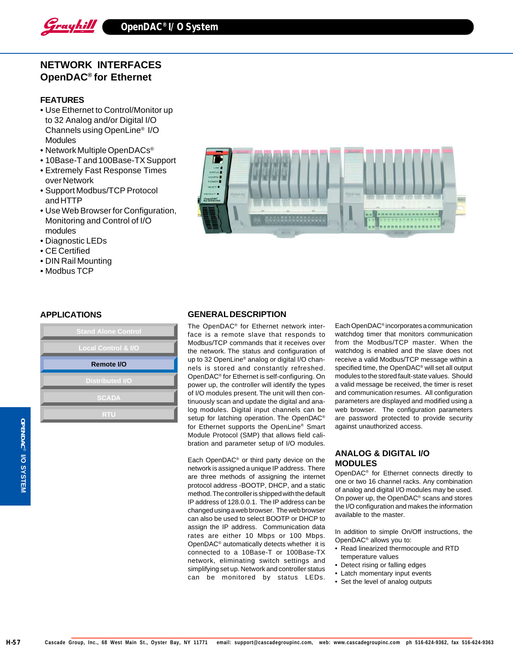

# **NETWORK INTERFACES OpenDAC® for Ethernet**

#### **FEATURES**

- Use Ethernet to Control/Monitor up to 32 Analog and/or Digital I/O Channels using OpenLine® I/O **Modules**
- Network Multiple OpenDACs®
- 10Base-T and 100Base-TX Support
- Extremely Fast Response Times over Network
- Support Modbus/TCP Protocol and HTTP
- Use Web Browser for Configuration, Monitoring and Control of I/O modules
- Diagnostic LEDs
- CE Certified
- DIN Rail Mounting
- Modbus TCP

# **APPLICATIONS**

| <b>Stand Alone Control</b>     |  |
|--------------------------------|--|
| <b>Local Control &amp; I/O</b> |  |
| Remote I/O                     |  |
| <b>Distributed I/O</b>         |  |
| <b>SCADA</b>                   |  |
| <b>RTU</b>                     |  |



# **GENERAL DESCRIPTION**

The OpenDAC® for Ethernet network interface is a remote slave that responds to Modbus/TCP commands that it receives over the network. The status and configuration of up to 32 OpenLine® analog or digital I/O channels is stored and constantly refreshed. OpenDAC® for Ethernet is self-configuring. On power up, the controller will identify the types of I/O modules present. The unit will then continuously scan and update the digital and analog modules. Digital input channels can be setup for latching operation. The OpenDAC® for Ethernet supports the OpenLine® Smart Module Protocol (SMP) that allows field calibration and parameter setup of I/O modules.

Each OpenDAC® or third party device on the network is assigned a unique IP address. There are three methods of assigning the internet protocol address -BOOTP, DHCP, and a static method. The controller is shipped with the default IP address of 128.0.0.1. The IP address can be changed using a web browser. The web browser can also be used to select BOOTP or DHCP to assign the IP address. Communication data rates are either 10 Mbps or 100 Mbps. OpenDAC® automatically detects whether it is connected to a 10Base-T or 100Base-TX network, eliminating switch settings and simplifying set up. Network and controller status can be monitored by status LEDs.

Each OpenDAC® incorporates a communication watchdog timer that monitors communication from the Modbus/TCP master. When the watchdog is enabled and the slave does not receive a valid Modbus/TCP message within a specified time, the OpenDAC® will set all output modules to the stored fault-state values. Should a valid message be received, the timer is reset and communication resumes. All configuration parameters are displayed and modified using a web browser. The configuration parameters are password protected to provide security against unauthorized access.

# **ANALOG & DIGITAL I/O MODULES**

OpenDAC® for Ethernet connects directly to one or two 16 channel racks. Any combination of analog and digital I/O modules may be used. On power up, the OpenDAC® scans and stores the I/O configuration and makes the information available to the master.

In addition to simple On/Off instructions, the OpenDAC® allows you to:

- Read linearized thermocouple and RTD temperature values
- Detect rising or falling edges
- Latch momentary input events
- Set the level of analog outputs

**OPENDAC**OPENDAC<sup>®</sup> I/O SYSTEM  **I/O SYSTEM**